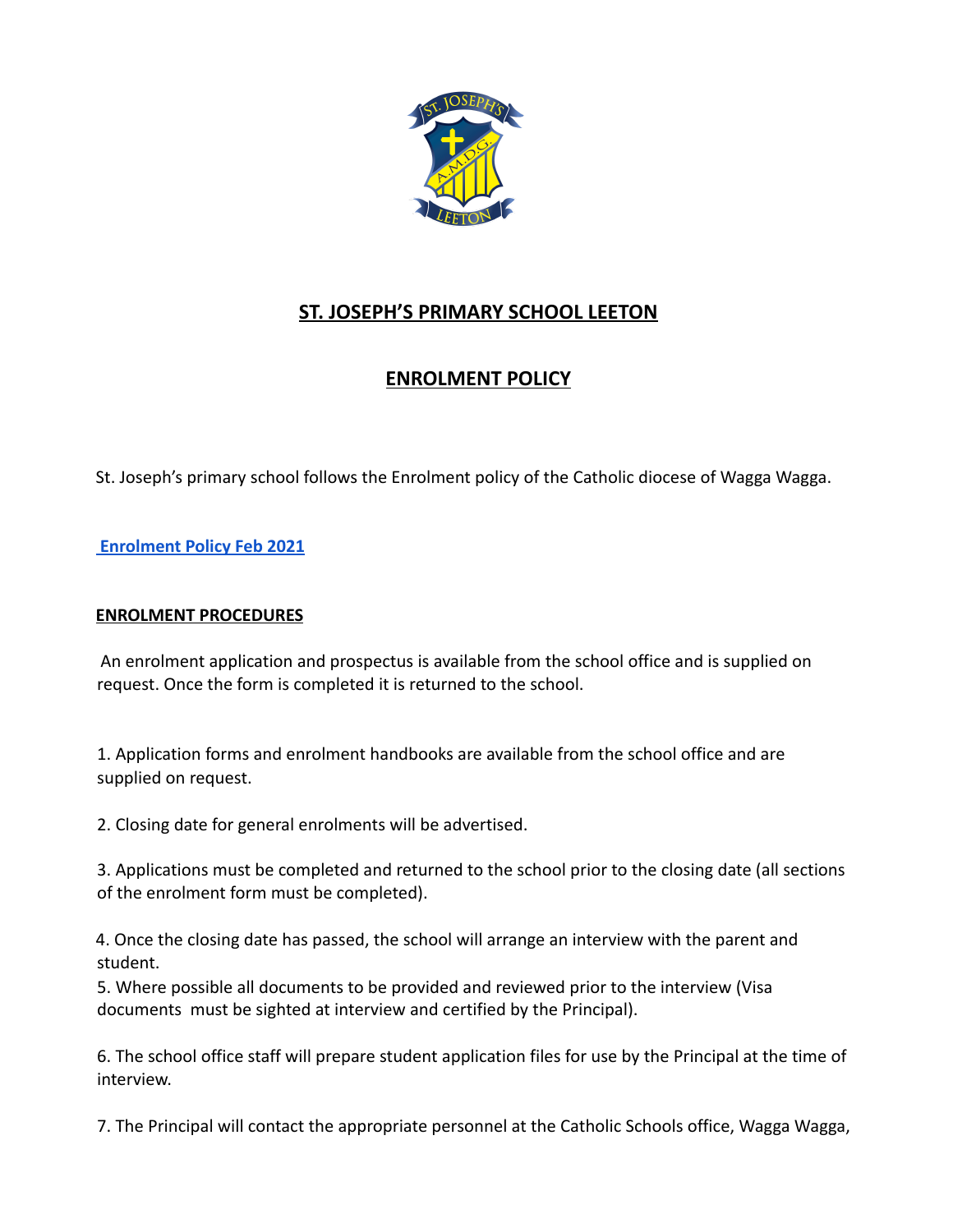

# **ST. JOSEPH'S PRIMARY SCHOOL LEETON**

# **ENROLMENT POLICY**

St. Joseph's primary school follows the Enrolment policy of the Catholic diocese of Wagga Wagga.

# **[Enrolment Policy Feb 2021](https://staff.ww.catholic.edu.au/download/115/policy/1YKF1cttZzOctbXEAvT0YsBk6MeRkebVM/Enrolment%20Policy)**

#### **ENROLMENT PROCEDURES**

An enrolment application and prospectus is available from the school office and is supplied on request. Once the form is completed it is returned to the school.

1. Application forms and enrolment handbooks are available from the school office and are supplied on request.

2. Closing date for general enrolments will be advertised.

3. Applications must be completed and returned to the school prior to the closing date (all sections of the enrolment form must be completed).

4. Once the closing date has passed, the school will arrange an interview with the parent and student.

5. Where possible all documents to be provided and reviewed prior to the interview (Visa documents must be sighted at interview and certified by the Principal).

6. The school office staff will prepare student application files for use by the Principal at the time of interview.

7. The Principal will contact the appropriate personnel at the Catholic Schools office, Wagga Wagga,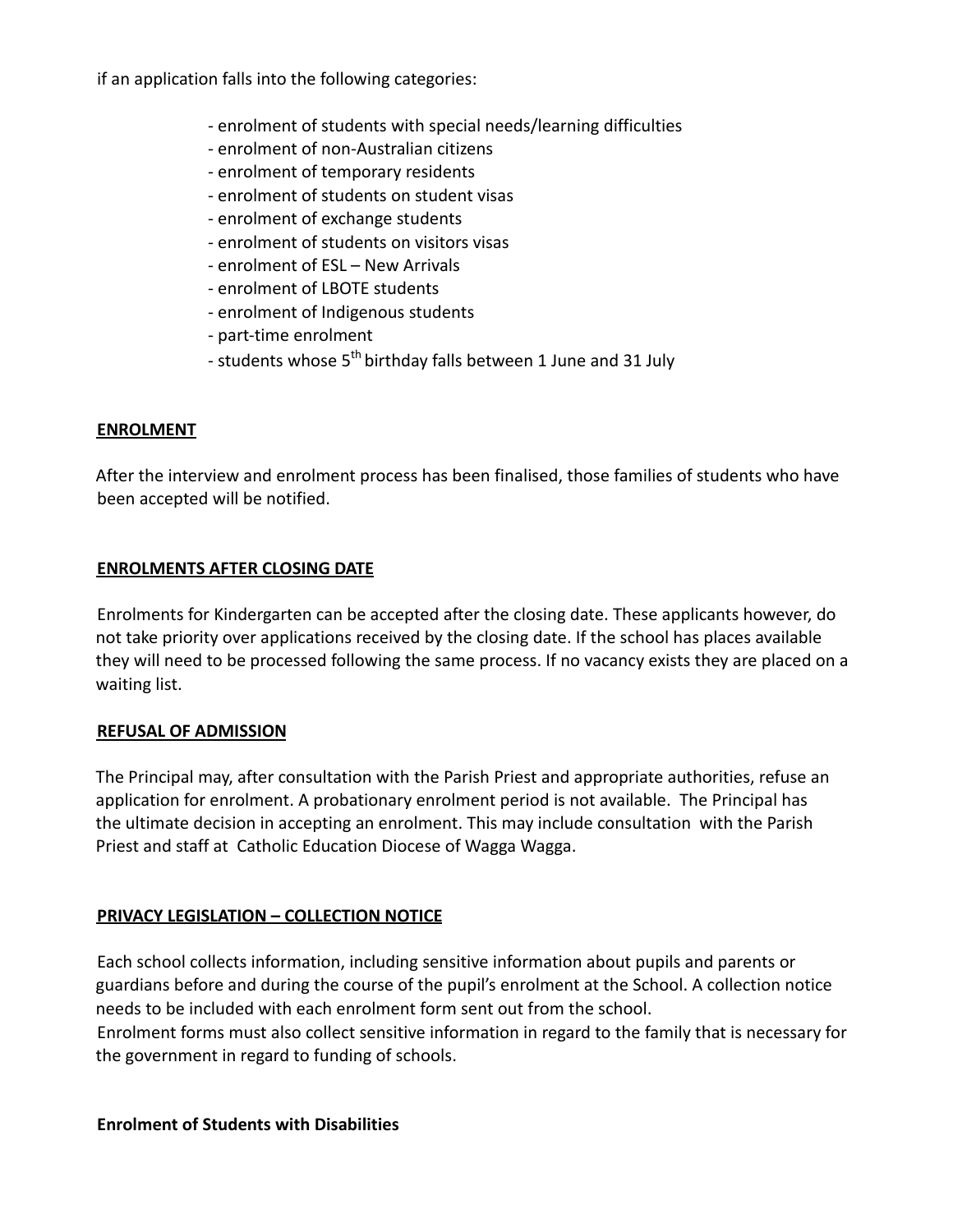if an application falls into the following categories:

- enrolment of students with special needs/learning difficulties
- enrolment of non-Australian citizens
- enrolment of temporary residents
- enrolment of students on student visas
- enrolment of exchange students
- enrolment of students on visitors visas
- enrolment of ESL New Arrivals
- enrolment of LBOTE students
- enrolment of Indigenous students
- part-time enrolment
- students whose 5<sup>th</sup> birthday falls between 1 June and 31 July

#### **ENROLMENT**

After the interview and enrolment process has been finalised, those families of students who have been accepted will be notified.

# **ENROLMENTS AFTER CLOSING DATE**

Enrolments for Kindergarten can be accepted after the closing date. These applicants however, do not take priority over applications received by the closing date. If the school has places available they will need to be processed following the same process. If no vacancy exists they are placed on a waiting list.

# **REFUSAL OF ADMISSION**

The Principal may, after consultation with the Parish Priest and appropriate authorities, refuse an application for enrolment. A probationary enrolment period is not available. The Principal has the ultimate decision in accepting an enrolment. This may include consultation with the Parish Priest and staff at Catholic Education Diocese of Wagga Wagga.

# **PRIVACY LEGISLATION – COLLECTION NOTICE**

Each school collects information, including sensitive information about pupils and parents or guardians before and during the course of the pupil's enrolment at the School. A collection notice needs to be included with each enrolment form sent out from the school. Enrolment forms must also collect sensitive information in regard to the family that is necessary for

the government in regard to funding of schools.

# **Enrolment of Students with Disabilities**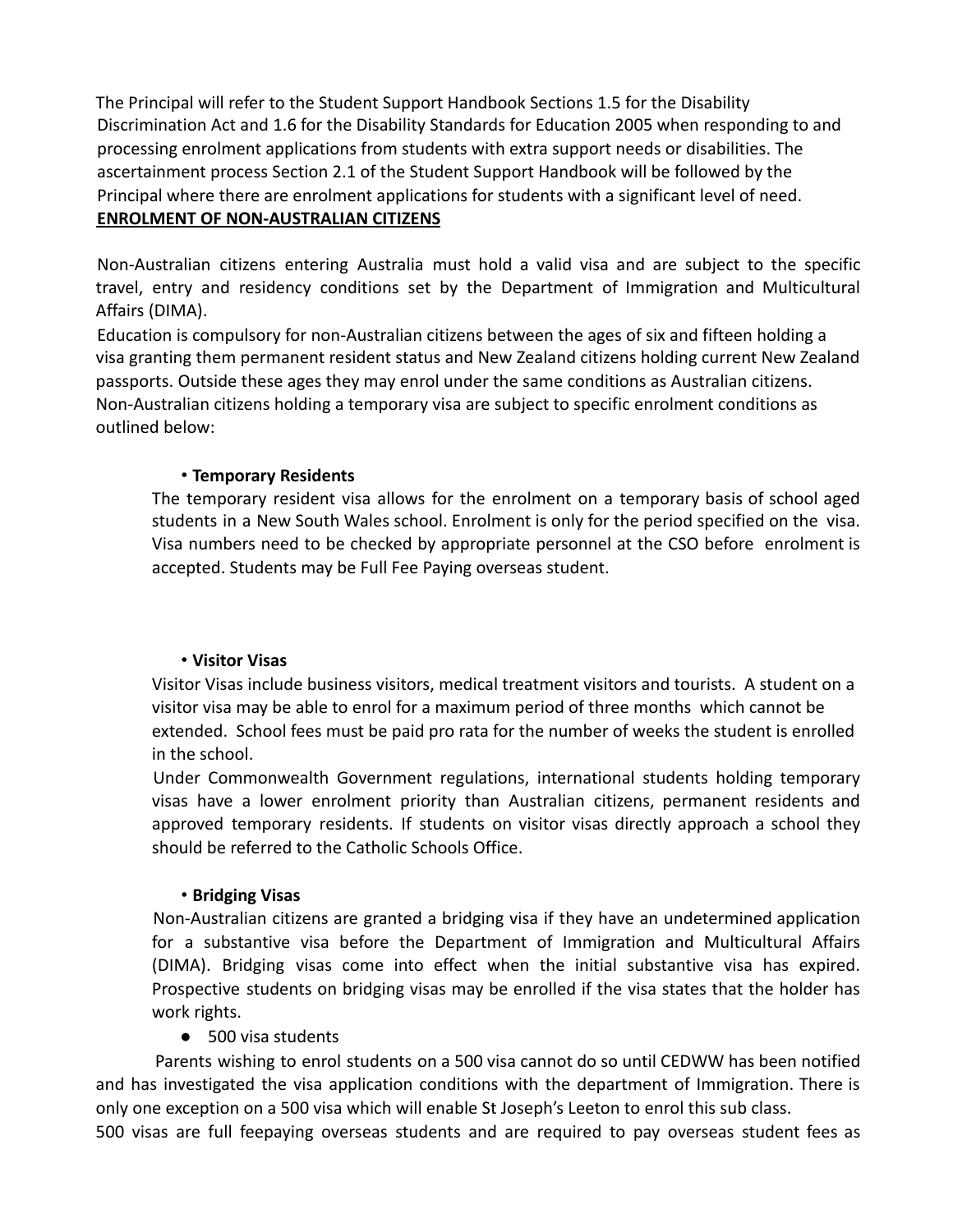The Principal will refer to the Student Support Handbook Sections 1.5 for the Disability Discrimination Act and 1.6 for the Disability Standards for Education 2005 when responding to and processing enrolment applications from students with extra support needs or disabilities. The ascertainment process Section 2.1 of the Student Support Handbook will be followed by the Principal where there are enrolment applications for students with a significant level of need. **ENROLMENT OF NON-AUSTRALIAN CITIZENS**

Non-Australian citizens entering Australia must hold a valid visa and are subject to the specific travel, entry and residency conditions set by the Department of Immigration and Multicultural Affairs (DIMA).

Education is compulsory for non-Australian citizens between the ages of six and fifteen holding a visa granting them permanent resident status and New Zealand citizens holding current New Zealand passports. Outside these ages they may enrol under the same conditions as Australian citizens. Non-Australian citizens holding a temporary visa are subject to specific enrolment conditions as outlined below:

# • **Temporary Residents**

The temporary resident visa allows for the enrolment on a temporary basis of school aged students in a New South Wales school. Enrolment is only for the period specified on the visa. Visa numbers need to be checked by appropriate personnel at the CSO before enrolment is accepted. Students may be Full Fee Paying overseas student.

#### • **Visitor Visas**

Visitor Visas include business visitors, medical treatment visitors and tourists. A student on a visitor visa may be able to enrol for a maximum period of three months which cannot be extended. School fees must be paid pro rata for the number of weeks the student is enrolled in the school.

Under Commonwealth Government regulations, international students holding temporary visas have a lower enrolment priority than Australian citizens, permanent residents and approved temporary residents. If students on visitor visas directly approach a school they should be referred to the Catholic Schools Office.

#### • **Bridging Visas**

Non-Australian citizens are granted a bridging visa if they have an undetermined application for a substantive visa before the Department of Immigration and Multicultural Affairs (DIMA). Bridging visas come into effect when the initial substantive visa has expired. Prospective students on bridging visas may be enrolled if the visa states that the holder has work rights.

# ● 500 visa students

Parents wishing to enrol students on a 500 visa cannot do so until CEDWW has been notified and has investigated the visa application conditions with the department of Immigration. There is only one exception on a 500 visa which will enable St Joseph's Leeton to enrol this sub class.

500 visas are full feepaying overseas students and are required to pay overseas student fees as